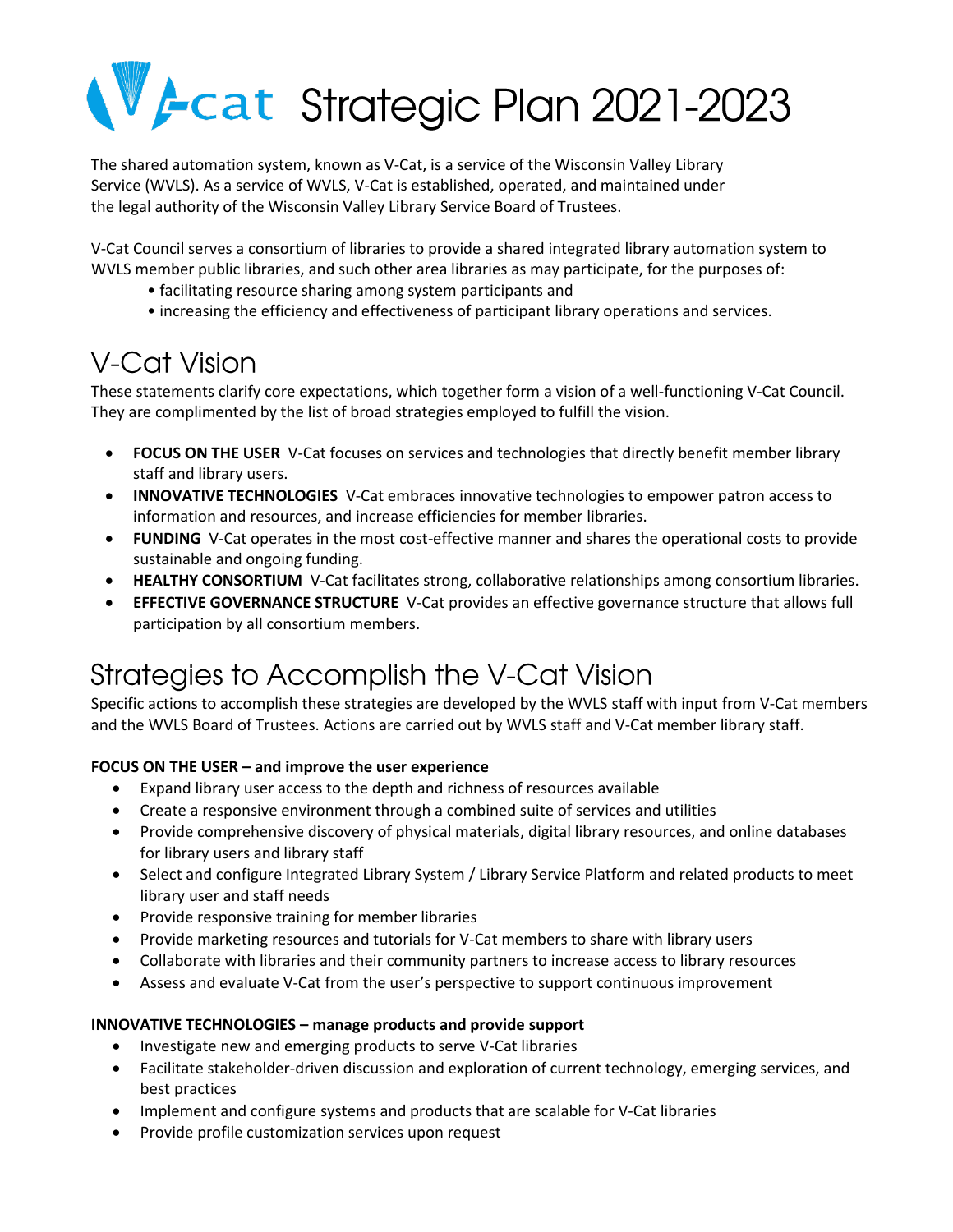# Vecat Strategic Plan 2021-2023

The shared automation system, known as V-Cat, is a service of the Wisconsin Valley Library Service (WVLS). As a service of WVLS, V-Cat is established, operated, and maintained under the legal authority of the Wisconsin Valley Library Service Board of Trustees.

V-Cat Council serves a consortium of libraries to provide a shared integrated library automation system to WVLS member public libraries, and such other area libraries as may participate, for the purposes of:

- facilitating resource sharing among system participants and
- increasing the efficiency and effectiveness of participant library operations and services.

## **V-Cat Vision**

These statements clarify core expectations, which together form a vision of a well-functioning V-Cat Council. They are complimented by the list of broad strategies employed to fulfill the vision.

- **FOCUS ON THE USER** V-Cat focuses on services and technologies that directly benefit member library staff and library users.
- **INNOVATIVE TECHNOLOGIES** V-Cat embraces innovative technologies to empower patron access to information and resources, and increase efficiencies for member libraries.
- **FUNDING** V-Cat operates in the most cost-effective manner and shares the operational costs to provide sustainable and ongoing funding.
- **HEALTHY CONSORTIUM** V-Cat facilitates strong, collaborative relationships among consortium libraries.
- **EFFECTIVE GOVERNANCE STRUCTURE** V-Cat provides an effective governance structure that allows full participation by all consortium members.

## Strategies to Accomplish the V-Cat Vision

Specific actions to accomplish these strategies are developed by the WVLS staff with input from V-Cat members and the WVLS Board of Trustees. Actions are carried out by WVLS staff and V-Cat member library staff.

#### **FOCUS ON THE USER – and improve the user experience**

- Expand library user access to the depth and richness of resources available
- Create a responsive environment through a combined suite of services and utilities
- Provide comprehensive discovery of physical materials, digital library resources, and online databases for library users and library staff
- Select and configure Integrated Library System / Library Service Platform and related products to meet library user and staff needs
- Provide responsive training for member libraries
- Provide marketing resources and tutorials for V-Cat members to share with library users
- Collaborate with libraries and their community partners to increase access to library resources
- Assess and evaluate V-Cat from the user's perspective to support continuous improvement

#### **INNOVATIVE TECHNOLOGIES – manage products and provide support**

- Investigate new and emerging products to serve V-Cat libraries
- Facilitate stakeholder-driven discussion and exploration of current technology, emerging services, and best practices
- Implement and configure systems and products that are scalable for V-Cat libraries
- Provide profile customization services upon request